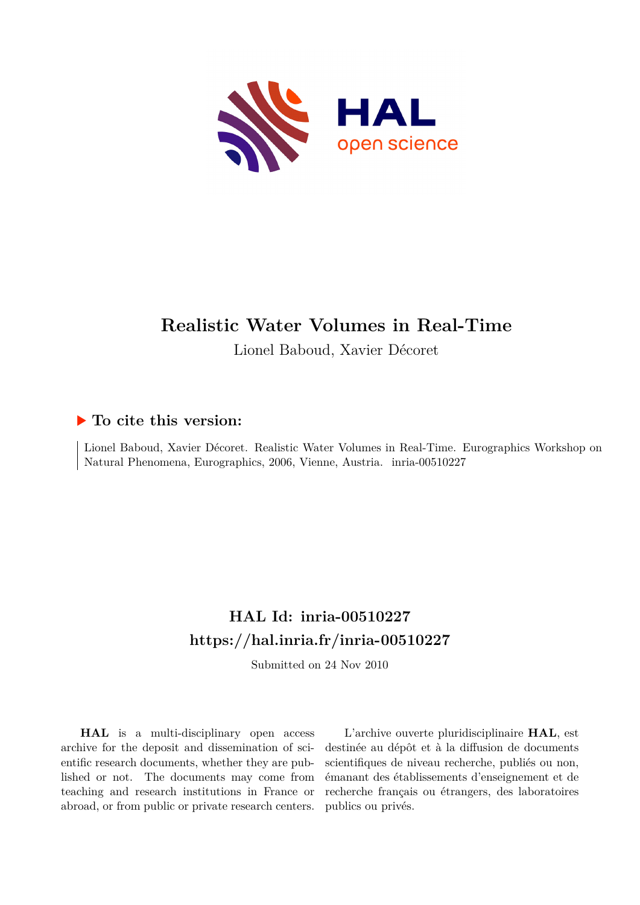

# **Realistic Water Volumes in Real-Time**

Lionel Baboud, Xavier Décoret

# **To cite this version:**

Lionel Baboud, Xavier Décoret. Realistic Water Volumes in Real-Time. Eurographics Workshop on Natural Phenomena, Eurographics, 2006, Vienne, Austria. inria-00510227

# **HAL Id: inria-00510227 <https://hal.inria.fr/inria-00510227>**

Submitted on 24 Nov 2010

**HAL** is a multi-disciplinary open access archive for the deposit and dissemination of scientific research documents, whether they are published or not. The documents may come from teaching and research institutions in France or abroad, or from public or private research centers.

L'archive ouverte pluridisciplinaire **HAL**, est destinée au dépôt et à la diffusion de documents scientifiques de niveau recherche, publiés ou non, émanant des établissements d'enseignement et de recherche français ou étrangers, des laboratoires publics ou privés.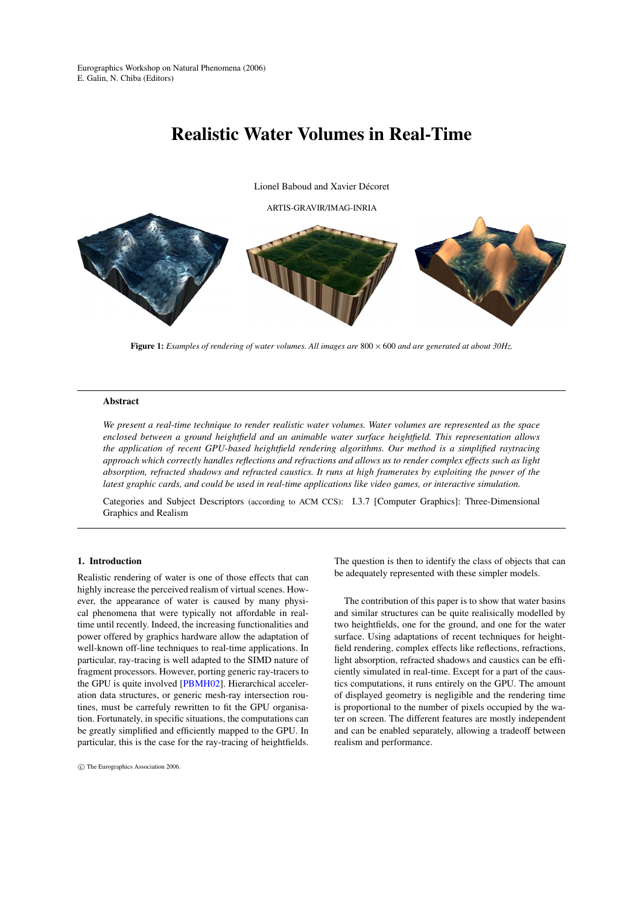# Realistic Water Volumes in Real-Time

Lionel Baboud and Xavier Décoret

ARTIS-GRAVIR/IMAG-INRIA



Figure 1: *Examples of rendering of water volumes. All images are* 800 × 600 *and are generated at about 30Hz.*

#### Abstract

*We present a real-time technique to render realistic water volumes. Water volumes are represented as the space enclosed between a ground heightfield and an animable water surface heightfield. This representation allows the application of recent GPU-based heightfield rendering algorithms. Our method is a simplified raytracing approach which correctly handles reflections and refractions and allows us to render complex effects such as light absorption, refracted shadows and refracted caustics. It runs at high framerates by exploiting the power of the latest graphic cards, and could be used in real-time applications like video games, or interactive simulation.*

Categories and Subject Descriptors (according to ACM CCS): I.3.7 [Computer Graphics]: Three-Dimensional Graphics and Realism

# 1. Introduction

Realistic rendering of water is one of those effects that can highly increase the perceived realism of virtual scenes. However, the appearance of water is caused by many physical phenomena that were typically not affordable in realtime until recently. Indeed, the increasing functionalities and power offered by graphics hardware allow the adaptation of well-known off-line techniques to real-time applications. In particular, ray-tracing is well adapted to the SIMD nature of fragment processors. However, porting generic ray-tracers to the GPU is quite involved [\[PBMH02\]](#page-8-0). Hierarchical acceleration data structures, or generic mesh-ray intersection routines, must be carrefuly rewritten to fit the GPU organisation. Fortunately, in specific situations, the computations can be greatly simplified and efficiently mapped to the GPU. In particular, this is the case for the ray-tracing of heightfields. The question is then to identify the class of objects that can be adequately represented with these simpler models.

The contribution of this paper is to show that water basins and similar structures can be quite realisically modelled by two heightfields, one for the ground, and one for the water surface. Using adaptations of recent techniques for heightfield rendering, complex effects like reflections, refractions, light absorption, refracted shadows and caustics can be efficiently simulated in real-time. Except for a part of the caustics computations, it runs entirely on the GPU. The amount of displayed geometry is negligible and the rendering time is proportional to the number of pixels occupied by the water on screen. The different features are mostly independent and can be enabled separately, allowing a tradeoff between realism and performance.

c The Eurographics Association 2006.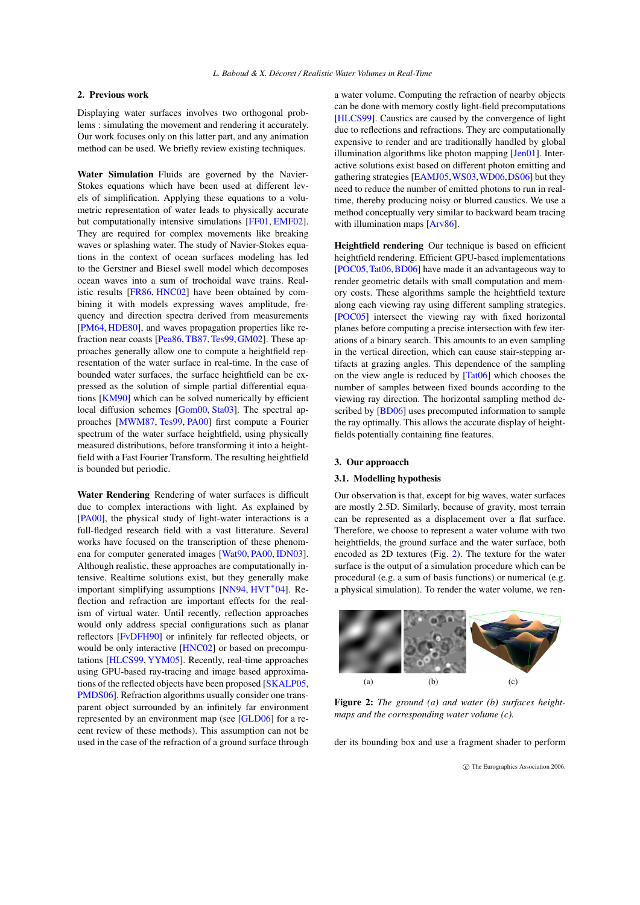### 2. Previous work

Displaying water surfaces involves two orthogonal problems : simulating the movement and rendering it accurately. Our work focuses only on this latter part, and any animation method can be used. We briefly review existing techniques.

Water Simulation Fluids are governed by the Navier-Stokes equations which have been used at different levels of simplification. Applying these equations to a volumetric representation of water leads to physically accurate but computationally intensive simulations [\[FF01,](#page-7-0) [EMF02\]](#page-7-1). They are required for complex movements like breaking waves or splashing water. The study of Navier-Stokes equations in the context of ocean surfaces modeling has led to the Gerstner and Biesel swell model which decomposes ocean waves into a sum of trochoidal wave trains. Realistic results [\[FR86,](#page-7-2) [HNC02\]](#page-8-1) have been obtained by combining it with models expressing waves amplitude, frequency and direction spectra derived from measurements [\[PM64,](#page-8-2) [HDE80\]](#page-8-3), and waves propagation properties like re-fraction near coasts [\[Pea86,](#page-8-4) [TB87,](#page-8-5) [Tes99,](#page-8-6) [GM02\]](#page-8-7). These approaches generally allow one to compute a heightfield representation of the water surface in real-time. In the case of bounded water surfaces, the surface heightfield can be expressed as the solution of simple partial differential equations [\[KM90\]](#page-8-8) which can be solved numerically by efficient local diffusion schemes [\[Gom00,](#page-8-9) [Sta03\]](#page-8-10). The spectral approaches [\[MWM87,](#page-8-11) [Tes99,](#page-8-6) [PA00\]](#page-8-12) first compute a Fourier spectrum of the water surface heightfield, using physically measured distributions, before transforming it into a heightfield with a Fast Fourier Transform. The resulting heightfield is bounded but periodic.

Water Rendering Rendering of water surfaces is difficult due to complex interactions with light. As explained by [\[PA00\]](#page-8-12), the physical study of light-water interactions is a full-fledged research field with a vast litterature. Several works have focused on the transcription of these phenomena for computer generated images [\[Wat90,](#page-8-13) [PA00,](#page-8-12) [IDN03\]](#page-8-14). Although realistic, these approaches are computationally intensive. Realtime solutions exist, but they generally make important simplifying assumptions [\[NN94,](#page-8-15) [HVT](#page-8-16)<sup>∗</sup> 04]. Reflection and refraction are important effects for the realism of virtual water. Until recently, reflection approaches would only address special configurations such as planar reflectors [\[FvDFH90\]](#page-7-3) or infinitely far reflected objects, or would be only interactive [\[HNC02\]](#page-8-1) or based on precomputations [\[HLCS99,](#page-8-17) [YYM05\]](#page-8-18). Recently, real-time approaches using GPU-based ray-tracing and image based approximations of the reflected objects have been proposed [\[SKALP05,](#page-8-19) [PMDS06\]](#page-8-20). Refraction algorithms usually consider one transparent object surrounded by an infinitely far environment represented by an environment map (see [\[GLD06\]](#page-8-21) for a recent review of these methods). This assumption can not be used in the case of the refraction of a ground surface through a water volume. Computing the refraction of nearby objects can be done with memory costly light-field precomputations [\[HLCS99\]](#page-8-17). Caustics are caused by the convergence of light due to reflections and refractions. They are computationally expensive to render and are traditionally handled by global illumination algorithms like photon mapping [\[Jen01\]](#page-8-22). Interactive solutions exist based on different photon emitting and gathering strategies [\[EAMJ05,](#page-7-4)[WS03,](#page-8-23)[WD06,](#page-8-24)[DS06\]](#page-7-5) but they need to reduce the number of emitted photons to run in realtime, thereby producing noisy or blurred caustics. We use a method conceptually very similar to backward beam tracing with illumination maps [\[Arv86\]](#page-7-6).

Heightfield rendering Our technique is based on efficient heightfield rendering. Efficient GPU-based implementations [\[POC05,](#page-8-25)[Tat06,](#page-8-26)[BD06\]](#page-7-7) have made it an advantageous way to render geometric details with small computation and memory costs. These algorithms sample the heightfield texture along each viewing ray using different sampling strategies. [\[POC05\]](#page-8-25) intersect the viewing ray with fixed horizontal planes before computing a precise intersection with few iterations of a binary search. This amounts to an even sampling in the vertical direction, which can cause stair-stepping artifacts at grazing angles. This dependence of the sampling on the view angle is reduced by [\[Tat06\]](#page-8-26) which chooses the number of samples between fixed bounds according to the viewing ray direction. The horizontal sampling method de-scribed by [\[BD06\]](#page-7-7) uses precomputed information to sample the ray optimally. This allows the accurate display of heightfields potentially containing fine features.

#### <span id="page-2-1"></span>3. Our approacch

#### 3.1. Modelling hypothesis

Our observation is that, except for big waves, water surfaces are mostly 2.5D. Similarly, because of gravity, most terrain can be represented as a displacement over a flat surface. Therefore, we choose to represent a water volume with two heightfields, the ground surface and the water surface, both encoded as 2D textures (Fig. [2\)](#page-2-0). The texture for the water surface is the output of a simulation procedure which can be procedural (e.g. a sum of basis functions) or numerical (e.g. a physical simulation). To render the water volume, we ren-



<span id="page-2-0"></span>Figure 2: *The ground (a) and water (b) surfaces heightmaps and the corresponding water volume (c).*

der its bounding box and use a fragment shader to perform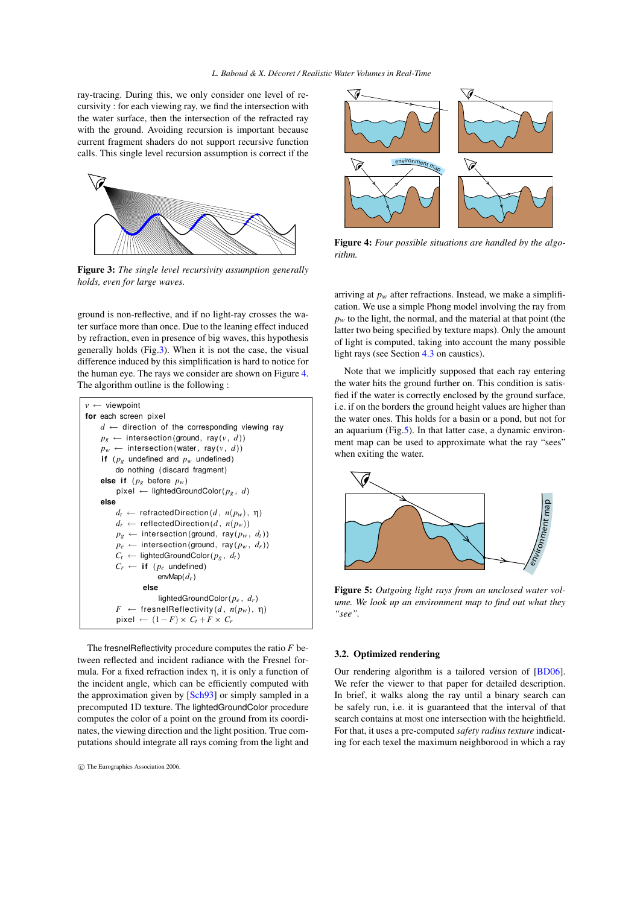ray-tracing. During this, we only consider one level of recursivity : for each viewing ray, we find the intersection with the water surface, then the intersection of the refracted ray with the ground. Avoiding recursion is important because current fragment shaders do not support recursive function calls. This single level recursion assumption is correct if the



<span id="page-3-0"></span>Figure 3: *The single level recursivity assumption generally holds, even for large waves.*

ground is non-reflective, and if no light-ray crosses the water surface more than once. Due to the leaning effect induced by refraction, even in presence of big waves, this hypothesis generally holds (Fig[.3\)](#page-3-0). When it is not the case, the visual difference induced by this simplification is hard to notice for the human eye. The rays we consider are shown on Figure [4.](#page-3-1) The algorithm outline is the following :



The fresnelReflectivity procedure computes the ratio *F* between reflected and incident radiance with the Fresnel formula. For a fixed refraction index η, it is only a function of the incident angle, which can be efficiently computed with the approximation given by [\[Sch93\]](#page-8-27) or simply sampled in a precomputed 1D texture. The lightedGroundColor procedure computes the color of a point on the ground from its coordinates, the viewing direction and the light position. True computations should integrate all rays coming from the light and



<span id="page-3-1"></span>Figure 4: *Four possible situations are handled by the algorithm.*

arriving at  $p_w$  after refractions. Instead, we make a simplification. We use a simple Phong model involving the ray from  $p_w$  to the light, the normal, and the material at that point (the latter two being specified by texture maps). Only the amount of light is computed, taking into account the many possible light rays (see Section [4.3](#page-6-0) on caustics).

Note that we implicitly supposed that each ray entering the water hits the ground further on. This condition is satisfied if the water is correctly enclosed by the ground surface, i.e. if on the borders the ground height values are higher than the water ones. This holds for a basin or a pond, but not for an aquarium (Fig[.5\)](#page-3-2). In that latter case, a dynamic environment map can be used to approximate what the ray "sees" when exiting the water.



<span id="page-3-2"></span>Figure 5: *Outgoing light rays from an unclosed water volume. We look up an environment map to find out what they "see".*

## 3.2. Optimized rendering

Our rendering algorithm is a tailored version of [\[BD06\]](#page-7-7). We refer the viewer to that paper for detailed description. In brief, it walks along the ray until a binary search can be safely run, i.e. it is guaranteed that the interval of that search contains at most one intersection with the heightfield. For that, it uses a pre-computed *safety radius texture* indicating for each texel the maximum neighborood in which a ray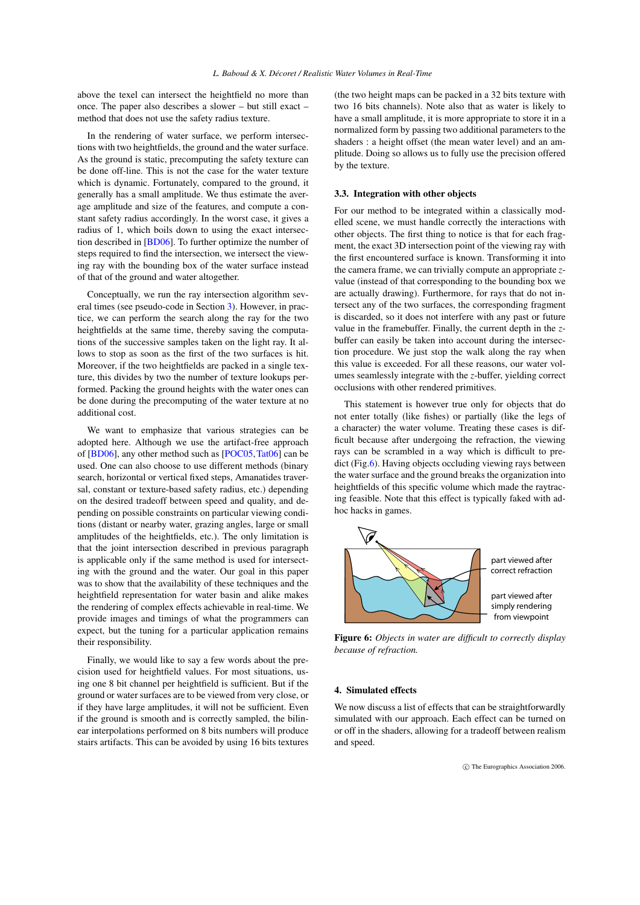above the texel can intersect the heightfield no more than once. The paper also describes a slower – but still exact – method that does not use the safety radius texture.

In the rendering of water surface, we perform intersections with two heightfields, the ground and the water surface. As the ground is static, precomputing the safety texture can be done off-line. This is not the case for the water texture which is dynamic. Fortunately, compared to the ground, it generally has a small amplitude. We thus estimate the average amplitude and size of the features, and compute a constant safety radius accordingly. In the worst case, it gives a radius of 1, which boils down to using the exact intersection described in [\[BD06\]](#page-7-7). To further optimize the number of steps required to find the intersection, we intersect the viewing ray with the bounding box of the water surface instead of that of the ground and water altogether.

Conceptually, we run the ray intersection algorithm several times (see pseudo-code in Section [3\)](#page-2-1). However, in practice, we can perform the search along the ray for the two heightfields at the same time, thereby saving the computations of the successive samples taken on the light ray. It allows to stop as soon as the first of the two surfaces is hit. Moreover, if the two heightfields are packed in a single texture, this divides by two the number of texture lookups performed. Packing the ground heights with the water ones can be done during the precomputing of the water texture at no additional cost.

We want to emphasize that various strategies can be adopted here. Although we use the artifact-free approach of [\[BD06\]](#page-7-7), any other method such as [\[POC05,](#page-8-25)[Tat06\]](#page-8-26) can be used. One can also choose to use different methods (binary search, horizontal or vertical fixed steps, Amanatides traversal, constant or texture-based safety radius, etc.) depending on the desired tradeoff between speed and quality, and depending on possible constraints on particular viewing conditions (distant or nearby water, grazing angles, large or small amplitudes of the heightfields, etc.). The only limitation is that the joint intersection described in previous paragraph is applicable only if the same method is used for intersecting with the ground and the water. Our goal in this paper was to show that the availability of these techniques and the heightfield representation for water basin and alike makes the rendering of complex effects achievable in real-time. We provide images and timings of what the programmers can expect, but the tuning for a particular application remains their responsibility.

Finally, we would like to say a few words about the precision used for heightfield values. For most situations, using one 8 bit channel per heightfield is sufficient. But if the ground or water surfaces are to be viewed from very close, or if they have large amplitudes, it will not be sufficient. Even if the ground is smooth and is correctly sampled, the bilinear interpolations performed on 8 bits numbers will produce stairs artifacts. This can be avoided by using 16 bits textures

(the two height maps can be packed in a 32 bits texture with two 16 bits channels). Note also that as water is likely to have a small amplitude, it is more appropriate to store it in a normalized form by passing two additional parameters to the shaders : a height offset (the mean water level) and an amplitude. Doing so allows us to fully use the precision offered by the texture.

# 3.3. Integration with other objects

For our method to be integrated within a classically modelled scene, we must handle correctly the interactions with other objects. The first thing to notice is that for each fragment, the exact 3D intersection point of the viewing ray with the first encountered surface is known. Transforming it into the camera frame, we can trivially compute an appropriate *z*value (instead of that corresponding to the bounding box we are actually drawing). Furthermore, for rays that do not intersect any of the two surfaces, the corresponding fragment is discarded, so it does not interfere with any past or future value in the framebuffer. Finally, the current depth in the *z*buffer can easily be taken into account during the intersection procedure. We just stop the walk along the ray when this value is exceeded. For all these reasons, our water volumes seamlessly integrate with the *z*-buffer, yielding correct occlusions with other rendered primitives.

This statement is however true only for objects that do not enter totally (like fishes) or partially (like the legs of a character) the water volume. Treating these cases is difficult because after undergoing the refraction, the viewing rays can be scrambled in a way which is difficult to pre-dict (Fig[.6\)](#page-4-0). Having objects occluding viewing rays between the water surface and the ground breaks the organization into heightfields of this specific volume which made the raytracing feasible. Note that this effect is typically faked with adhoc hacks in games.



<span id="page-4-0"></span>Figure 6: *Objects in water are difficult to correctly display because of refraction.*

#### 4. Simulated effects

We now discuss a list of effects that can be straightforwardly simulated with our approach. Each effect can be turned on or off in the shaders, allowing for a tradeoff between realism and speed.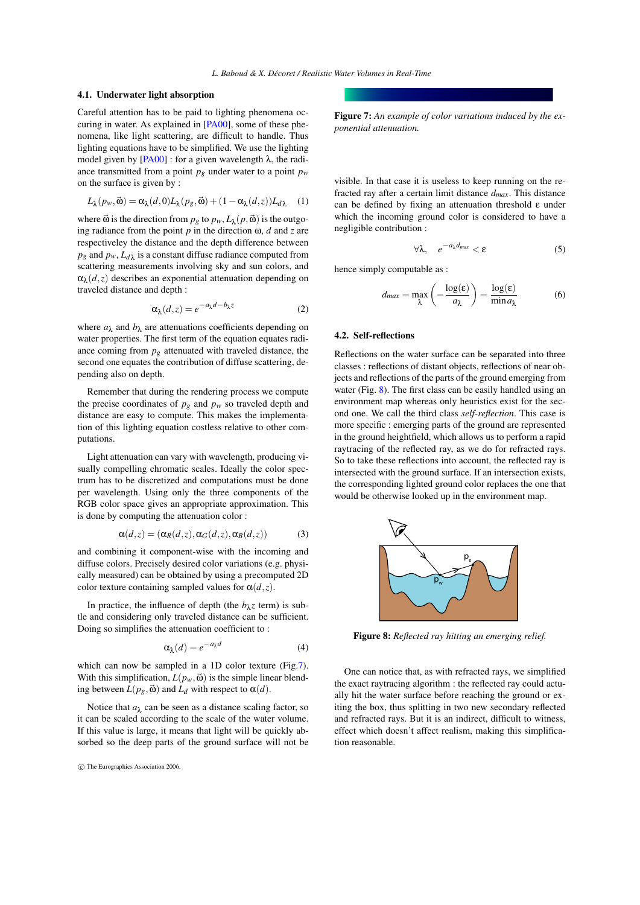#### 4.1. Underwater light absorption

Careful attention has to be paid to lighting phenomena occuring in water. As explained in [\[PA00\]](#page-8-12), some of these phenomena, like light scattering, are difficult to handle. Thus lighting equations have to be simplified. We use the lighting model given by  $[PA00]$  : for a given wavelength  $\lambda$ , the radiance transmitted from a point  $p_g$  under water to a point  $p_w$ on the surface is given by :

$$
L_{\lambda}(p_{w}, \vec{\omega}) = \alpha_{\lambda}(d, 0)L_{\lambda}(p_{g}, \vec{\omega}) + (1 - \alpha_{\lambda}(d, z))L_{d\lambda} \quad (1)
$$

where  $\vec{\omega}$  is the direction from  $p_g$  to  $p_w$ ,  $L_\lambda(p, \vec{\omega})$  is the outgoing radiance from the point  $p$  in the direction  $\omega$ ,  $d$  and  $z$  are respectiveley the distance and the depth difference between  $p_g$  and  $p_w$ ,  $L_{d\lambda}$  is a constant diffuse radiance computed from scattering measurements involving sky and sun colors, and  $\alpha_{\lambda}(d, z)$  describes an exponential attenuation depending on traveled distance and depth :

$$
\alpha_{\lambda}(d,z) = e^{-a_{\lambda}d - b_{\lambda}z} \tag{2}
$$

where  $a_{\lambda}$  and  $b_{\lambda}$  are attenuations coefficients depending on water properties. The first term of the equation equates radiance coming from  $p<sub>g</sub>$  attenuated with traveled distance, the second one equates the contribution of diffuse scattering, depending also on depth.

Remember that during the rendering process we compute the precise coordinates of  $p_g$  and  $p_w$  so traveled depth and distance are easy to compute. This makes the implementation of this lighting equation costless relative to other computations.

Light attenuation can vary with wavelength, producing visually compelling chromatic scales. Ideally the color spectrum has to be discretized and computations must be done per wavelength. Using only the three components of the RGB color space gives an appropriate approximation. This is done by computing the attenuation color :

$$
\alpha(d,z) = (\alpha_R(d,z), \alpha_G(d,z), \alpha_B(d,z))
$$
 (3)

and combining it component-wise with the incoming and diffuse colors. Precisely desired color variations (e.g. physically measured) can be obtained by using a precomputed 2D color texture containing sampled values for  $\alpha(d,z)$ .

In practice, the influence of depth (the  $b_{\lambda}z$  term) is subtle and considering only traveled distance can be sufficient. Doing so simplifies the attenuation coefficient to :

$$
\alpha_{\lambda}(d) = e^{-a_{\lambda}d} \tag{4}
$$

which can now be sampled in a 1D color texture (Fig[.7\)](#page-5-0). With this simplification,  $L(p_w, \vec{\omega})$  is the simple linear blending between  $L(p_g, \vec{\omega})$  and  $L_d$  with respect to  $\alpha(d)$ .

Notice that  $a_{\lambda}$  can be seen as a distance scaling factor, so it can be scaled according to the scale of the water volume. If this value is large, it means that light will be quickly absorbed so the deep parts of the ground surface will not be <span id="page-5-0"></span>Figure 7: *An example of color variations induced by the exponential attenuation.*

visible. In that case it is useless to keep running on the refracted ray after a certain limit distance *dmax*. This distance can be defined by fixing an attenuation threshold ε under which the incoming ground color is considered to have a negligible contribution :

$$
\forall \lambda, \quad e^{-a_{\lambda} d_{max}} < \varepsilon \tag{5}
$$

hence simply computable as :

$$
d_{max} = \max_{\lambda} \left( -\frac{\log(\varepsilon)}{a_{\lambda}} \right) = \frac{\log(\varepsilon)}{\min a_{\lambda}}
$$
(6)

## 4.2. Self-reflections

Reflections on the water surface can be separated into three classes : reflections of distant objects, reflections of near objects and reflections of the parts of the ground emerging from water (Fig. [8\)](#page-5-1). The first class can be easily handled using an environment map whereas only heuristics exist for the second one. We call the third class *self-reflection*. This case is more specific : emerging parts of the ground are represented in the ground heightfield, which allows us to perform a rapid raytracing of the reflected ray, as we do for refracted rays. So to take these reflections into account, the reflected ray is intersected with the ground surface. If an intersection exists, the corresponding lighted ground color replaces the one that would be otherwise looked up in the environment map.



<span id="page-5-1"></span>Figure 8: *Reflected ray hitting an emerging relief.*

One can notice that, as with refracted rays, we simplified the exact raytracing algorithm : the reflected ray could actually hit the water surface before reaching the ground or exiting the box, thus splitting in two new secondary reflected and refracted rays. But it is an indirect, difficult to witness, effect which doesn't affect realism, making this simplification reasonable.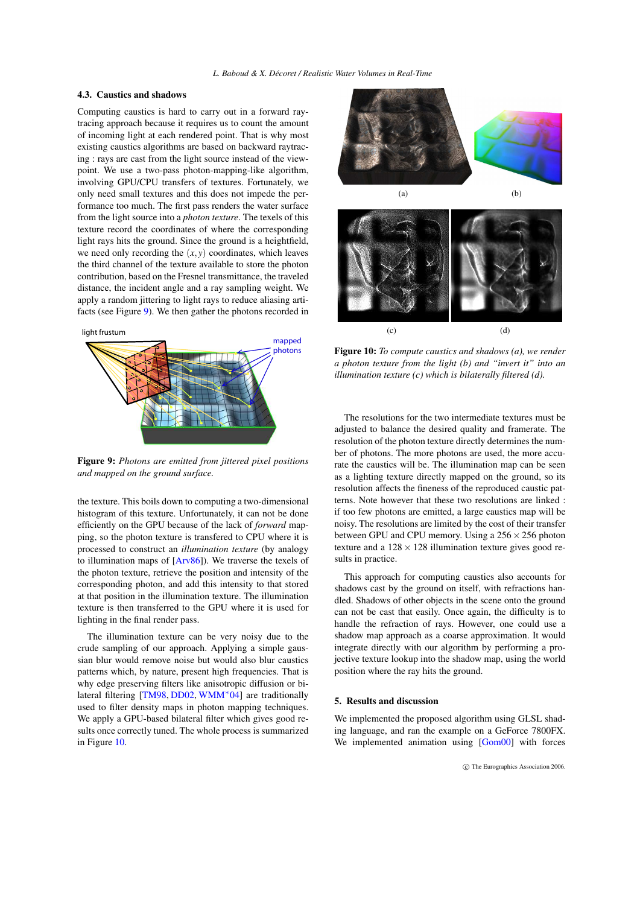# <span id="page-6-0"></span>4.3. Caustics and shadows

Computing caustics is hard to carry out in a forward raytracing approach because it requires us to count the amount of incoming light at each rendered point. That is why most existing caustics algorithms are based on backward raytracing : rays are cast from the light source instead of the viewpoint. We use a two-pass photon-mapping-like algorithm, involving GPU/CPU transfers of textures. Fortunately, we only need small textures and this does not impede the performance too much. The first pass renders the water surface from the light source into a *photon texture*. The texels of this texture record the coordinates of where the corresponding light rays hits the ground. Since the ground is a heightfield, we need only recording the  $(x, y)$  coordinates, which leaves the third channel of the texture available to store the photon contribution, based on the Fresnel transmittance, the traveled distance, the incident angle and a ray sampling weight. We apply a random jittering to light rays to reduce aliasing artifacts (see Figure [9\)](#page-6-1). We then gather the photons recorded in



<span id="page-6-1"></span>Figure 9: *Photons are emitted from jittered pixel positions and mapped on the ground surface.*

the texture. This boils down to computing a two-dimensional histogram of this texture. Unfortunately, it can not be done efficiently on the GPU because of the lack of *forward* mapping, so the photon texture is transfered to CPU where it is processed to construct an *illumination texture* (by analogy to illumination maps of [\[Arv86\]](#page-7-6)). We traverse the texels of the photon texture, retrieve the position and intensity of the corresponding photon, and add this intensity to that stored at that position in the illumination texture. The illumination texture is then transferred to the GPU where it is used for lighting in the final render pass.

The illumination texture can be very noisy due to the crude sampling of our approach. Applying a simple gaussian blur would remove noise but would also blur caustics patterns which, by nature, present high frequencies. That is why edge preserving filters like anisotropic diffusion or bilateral filtering [\[TM98,](#page-8-28) [DD02,](#page-7-8) [WMM](#page-8-29)<sup>∗</sup> 04] are traditionally used to filter density maps in photon mapping techniques. We apply a GPU-based bilateral filter which gives good results once correctly tuned. The whole process is summarized in Figure [10.](#page-6-2)





<span id="page-6-2"></span>Figure 10: *To compute caustics and shadows (a), we render a photon texture from the light (b) and "invert it" into an illumination texture (c) which is bilaterally filtered (d).*

The resolutions for the two intermediate textures must be adjusted to balance the desired quality and framerate. The resolution of the photon texture directly determines the number of photons. The more photons are used, the more accurate the caustics will be. The illumination map can be seen as a lighting texture directly mapped on the ground, so its resolution affects the fineness of the reproduced caustic patterns. Note however that these two resolutions are linked : if too few photons are emitted, a large caustics map will be noisy. The resolutions are limited by the cost of their transfer between GPU and CPU memory. Using a  $256 \times 256$  photon texture and a  $128 \times 128$  illumination texture gives good results in practice.

This approach for computing caustics also accounts for shadows cast by the ground on itself, with refractions handled. Shadows of other objects in the scene onto the ground can not be cast that easily. Once again, the difficulty is to handle the refraction of rays. However, one could use a shadow map approach as a coarse approximation. It would integrate directly with our algorithm by performing a projective texture lookup into the shadow map, using the world position where the ray hits the ground.

### 5. Results and discussion

We implemented the proposed algorithm using GLSL shading language, and ran the example on a GeForce 7800FX. We implemented animation using [\[Gom00\]](#page-8-9) with forces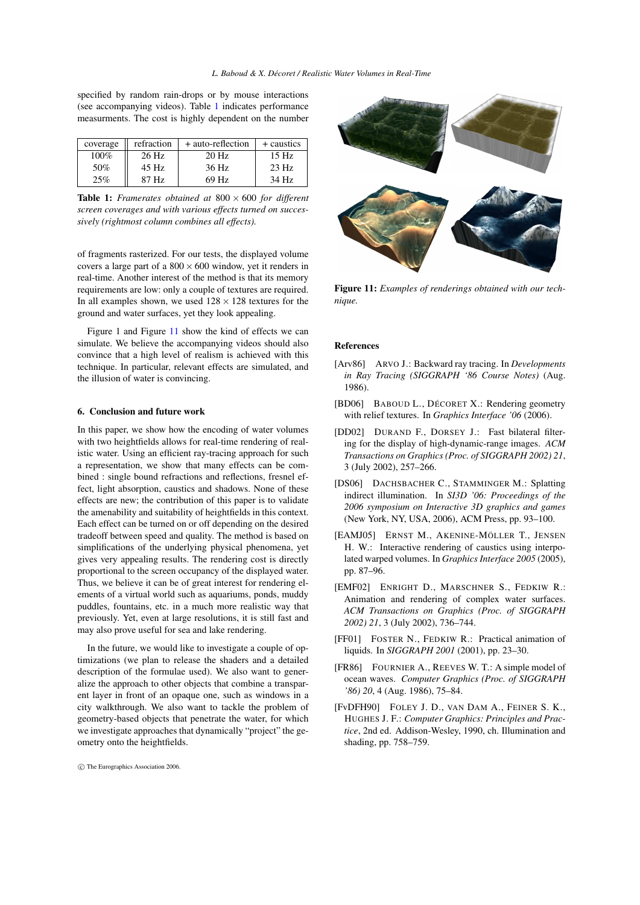specified by random rain-drops or by mouse interactions (see accompanying videos). Table [1](#page-7-9) indicates performance measurments. The cost is highly dependent on the number

| coverage | refraction | + auto-reflection | + caustics |
|----------|------------|-------------------|------------|
| 100%     | $26$ Hz    | 20 Hz             | 15 Hz      |
| 50%      | $45$ Hz    | 36 Hz             | 23 Hz      |
| 25%      | 87 Hz      | 69 Hz             | 34 Hz      |

<span id="page-7-9"></span>Table 1: *Framerates obtained at* 800 × 600 *for different screen coverages and with various effects turned on successively (rightmost column combines all effects).*

of fragments rasterized. For our tests, the displayed volume covers a large part of a  $800 \times 600$  window, yet it renders in real-time. Another interest of the method is that its memory requirements are low: only a couple of textures are required. In all examples shown, we used  $128 \times 128$  textures for the ground and water surfaces, yet they look appealing.

Figure 1 and Figure [11](#page-7-10) show the kind of effects we can simulate. We believe the accompanying videos should also convince that a high level of realism is achieved with this technique. In particular, relevant effects are simulated, and the illusion of water is convincing.

#### 6. Conclusion and future work

In this paper, we show how the encoding of water volumes with two heightfields allows for real-time rendering of realistic water. Using an efficient ray-tracing approach for such a representation, we show that many effects can be combined : single bound refractions and reflections, fresnel effect, light absorption, caustics and shadows. None of these effects are new; the contribution of this paper is to validate the amenability and suitability of heightfields in this context. Each effect can be turned on or off depending on the desired tradeoff between speed and quality. The method is based on simplifications of the underlying physical phenomena, yet gives very appealing results. The rendering cost is directly proportional to the screen occupancy of the displayed water. Thus, we believe it can be of great interest for rendering elements of a virtual world such as aquariums, ponds, muddy puddles, fountains, etc. in a much more realistic way that previously. Yet, even at large resolutions, it is still fast and may also prove useful for sea and lake rendering.

In the future, we would like to investigate a couple of optimizations (we plan to release the shaders and a detailed description of the formulae used). We also want to generalize the approach to other objects that combine a transparent layer in front of an opaque one, such as windows in a city walkthrough. We also want to tackle the problem of geometry-based objects that penetrate the water, for which we investigate approaches that dynamically "project" the geometry onto the heightfields.



<span id="page-7-10"></span>Figure 11: *Examples of renderings obtained with our technique.*

#### References

- <span id="page-7-6"></span>[Arv86] ARVO J.: Backward ray tracing. In *Developments in Ray Tracing (SIGGRAPH '86 Course Notes)* (Aug. 1986).
- <span id="page-7-7"></span>[BD06] BABOUD L., DÉCORET X.: Rendering geometry with relief textures. In *Graphics Interface '06* (2006).
- <span id="page-7-8"></span>[DD02] DURAND F., DORSEY J.: Fast bilateral filtering for the display of high-dynamic-range images. *ACM Transactions on Graphics (Proc. of SIGGRAPH 2002) 21*, 3 (July 2002), 257–266.
- <span id="page-7-5"></span>[DS06] DACHSBACHER C., STAMMINGER M.: Splatting indirect illumination. In *SI3D '06: Proceedings of the 2006 symposium on Interactive 3D graphics and games* (New York, NY, USA, 2006), ACM Press, pp. 93–100.
- <span id="page-7-4"></span>[EAMJ05] ERNST M., AKENINE-MÖLLER T., JENSEN H. W.: Interactive rendering of caustics using interpolated warped volumes. In *Graphics Interface 2005* (2005), pp. 87–96.
- <span id="page-7-1"></span>[EMF02] ENRIGHT D., MARSCHNER S., FEDKIW R.: Animation and rendering of complex water surfaces. *ACM Transactions on Graphics (Proc. of SIGGRAPH 2002) 21*, 3 (July 2002), 736–744.
- <span id="page-7-0"></span>[FF01] FOSTER N., FEDKIW R.: Practical animation of liquids. In *SIGGRAPH 2001* (2001), pp. 23–30.
- <span id="page-7-2"></span>[FR86] FOURNIER A., REEVES W. T.: A simple model of ocean waves. *Computer Graphics (Proc. of SIGGRAPH '86) 20*, 4 (Aug. 1986), 75–84.
- <span id="page-7-3"></span>[FvDFH90] FOLEY J. D., VAN DAM A., FEINER S. K., HUGHES J. F.: *Computer Graphics: Principles and Practice*, 2nd ed. Addison-Wesley, 1990, ch. Illumination and shading, pp. 758–759.